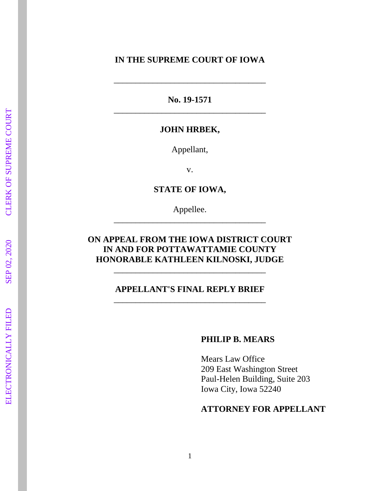# **IN THE SUPREME COURT OF IOWA**

**No. 19 -1571** \_\_\_\_\_\_\_\_\_\_\_\_\_\_\_\_\_\_\_\_\_\_\_\_\_\_\_\_\_\_\_\_\_\_\_

\_\_\_\_\_\_\_\_\_\_\_\_\_\_\_\_\_\_\_\_\_\_\_\_\_\_\_\_\_\_\_\_\_\_\_

### **JOHN HRBEK,**

Appellant,

v.

**STATE OF IOWA ,**

Appellee. \_\_\_\_\_\_\_\_\_\_\_\_\_\_\_\_\_\_\_\_\_\_\_\_\_\_\_\_\_\_\_\_\_\_\_

# **ON APPEAL FROM THE IOWA DISTRICT COURT IN AND FOR POTTAWATTAMIE COUNTY HONORABLE KATHLEEN KILNOSKI, JUDGE**

\_\_\_\_\_\_\_\_\_\_\_\_\_\_\_\_\_\_\_\_\_\_\_\_\_\_\_\_\_\_\_\_\_\_\_

# **APPELLANT'S FINAL REPLY BRIEF** \_\_\_\_\_\_\_\_\_\_\_\_\_\_\_\_\_\_\_\_\_\_\_\_\_\_\_\_\_\_\_\_\_\_\_

### **PHILIP B. MEARS**

Mears Law Office 209 East Washington Street Paul -Helen Building, Suite 203 Iowa City, Iowa 52240

### **ATTORNEY FOR APPELLANT**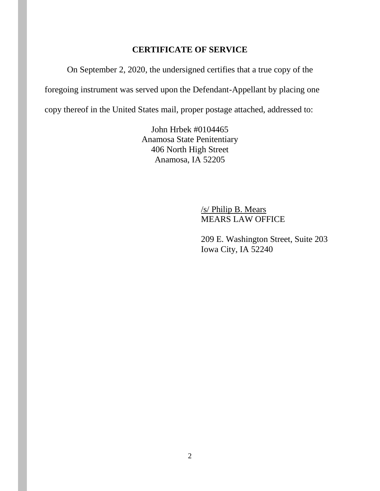# **CERTIFICATE OF SERVICE**

On September 2, 2020, the undersigned certifies that a true copy of the

foregoing instrument was served upon the Defendant-Appellant by placing one

copy thereof in the United States mail, proper postage attached, addressed to:

John Hrbek #0104465 Anamosa State Penitentiary 406 North High Street Anamosa, IA 52205

> /s/ Philip B. Mears MEARS LAW OFFICE

209 E. Washington Street, Suite 203 Iowa City, IA 52240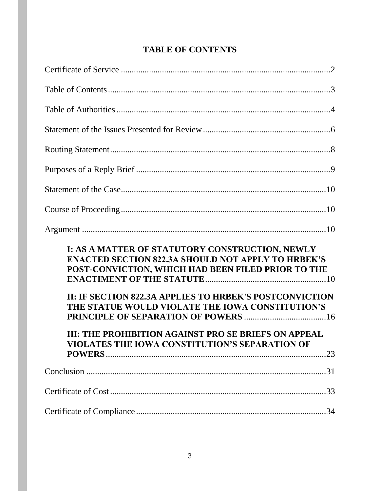| <b>TABLE OF CONTENTS</b> |
|--------------------------|
|--------------------------|

| I: AS A MATTER OF STATUTORY CONSTRUCTION, NEWLY<br><b>ENACTED SECTION 822.3A SHOULD NOT APPLY TO HRBEK'S</b><br>POST-CONVICTION, WHICH HAD BEEN FILED PRIOR TO THE |
|--------------------------------------------------------------------------------------------------------------------------------------------------------------------|
| II: IF SECTION 822.3A APPLIES TO HRBEK'S POSTCONVICTION<br>THE STATUE WOULD VIOLATE THE IOWA CONSTITUTION'S                                                        |
| <b>III: THE PROHIBITION AGAINST PRO SE BRIEFS ON APPEAL</b><br>VIOLATES THE IOWA CONSTITUTION'S SEPARATION OF<br>.23                                               |
|                                                                                                                                                                    |
|                                                                                                                                                                    |
|                                                                                                                                                                    |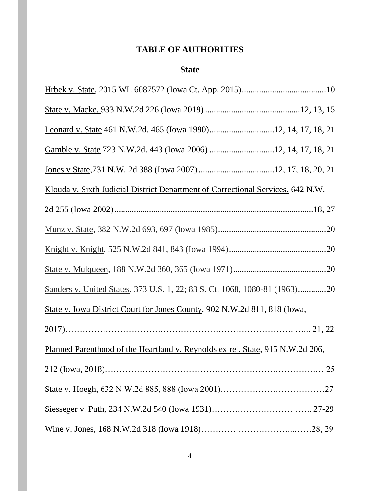# **TABLE OF AUTHORITIES**

# **State**

| Leonard v. State 461 N.W.2d. 465 (Iowa 1990)12, 14, 17, 18, 21                  |
|---------------------------------------------------------------------------------|
| Gamble v. State 723 N.W.2d. 443 (Iowa 2006) 12, 14, 17, 18, 21                  |
|                                                                                 |
| Klouda v. Sixth Judicial District Department of Correctional Services, 642 N.W. |
|                                                                                 |
|                                                                                 |
|                                                                                 |
|                                                                                 |
| Sanders v. United States, 373 U.S. 1, 22; 83 S. Ct. 1068, 1080-81 (1963)20      |
| State v. Iowa District Court for Jones County, 902 N.W.2d 811, 818 (Iowa,       |
|                                                                                 |
| Planned Parenthood of the Heartland v. Reynolds ex rel. State, 915 N.W.2d 206,  |
|                                                                                 |
|                                                                                 |
|                                                                                 |
|                                                                                 |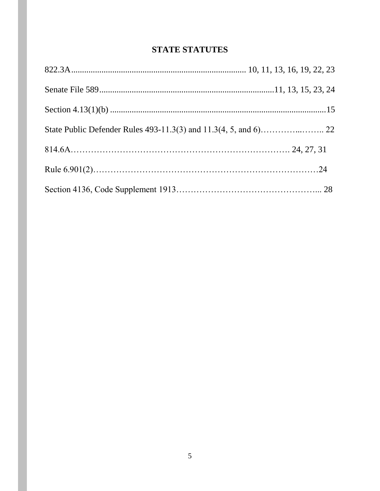# **STATE STATUTES**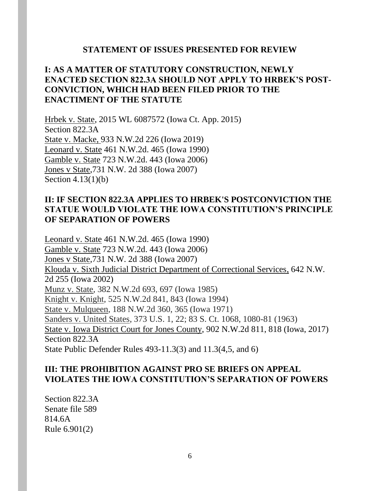### **STATEMENT OF ISSUES PRESENTED FOR REVIEW**

# **I: AS A MATTER OF STATUTORY CONSTRUCTION, NEWLY ENACTED SECTION 822.3A SHOULD NOT APPLY TO HRBEK'S POST-CONVICTION, WHICH HAD BEEN FILED PRIOR TO THE ENACTIMENT OF THE STATUTE**

Hrbek v. State, 2015 WL 6087572 (Iowa Ct. App. 2015) Section 822.3A State v. Macke, 933 N.W.2d 226 (Iowa 2019) Leonard v. State 461 N.W.2d. 465 (Iowa 1990) Gamble v. State 723 N.W.2d. 443 (Iowa 2006) Jones v State,731 N.W. 2d 388 (Iowa 2007) Section 4.13(1)(b)

# **II: IF SECTION 822.3A APPLIES TO HRBEK'S POSTCONVICTION THE STATUE WOULD VIOLATE THE IOWA CONSTITUTION'S PRINCIPLE OF SEPARATION OF POWERS**

Leonard v. State 461 N.W.2d. 465 (Iowa 1990) Gamble v. State 723 N.W.2d. 443 (Iowa 2006) Jones v State,731 N.W. 2d 388 (Iowa 2007) Klouda v. Sixth Judicial District Department of Correctional Services, 642 N.W. 2d 255 (Iowa 2002) Munz v. State, 382 N.W.2d 693, 697 (Iowa 1985) Knight v. Knight, 525 N.W.2d 841, 843 (Iowa 1994) State v. Mulqueen, 188 N.W.2d 360, 365 (Iowa 1971) Sanders v. United States, 373 U.S. 1, 22; 83 S. Ct. 1068, 1080-81 (1963) State v. Iowa District Court for Jones County, 902 N.W.2d 811, 818 (Iowa, 2017) Section 822.3A State Public Defender Rules 493-11.3(3) and 11.3(4,5, and 6)

## **III: THE PROHIBITION AGAINST PRO SE BRIEFS ON APPEAL VIOLATES THE IOWA CONSTITUTION'S SEPARATION OF POWERS**

Section 822.3A Senate file 589 814.6A Rule 6.901(2)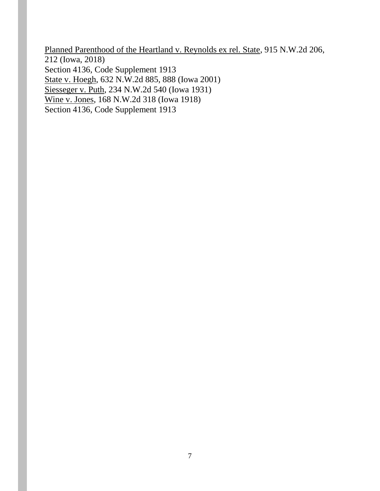Planned Parenthood of the Heartland v. Reynolds ex rel. State, 915 N.W.2d 206, 212 (Iowa, 2018) Section 4136, Code Supplement 1913 State v. Hoegh, 632 N.W.2d 885, 888 (Iowa 2001) Siesseger v. Puth, 234 N.W.2d 540 (Iowa 1931) Wine v. Jones, 168 N.W.2d 318 (Iowa 1918) Section 4136, Code Supplement 1913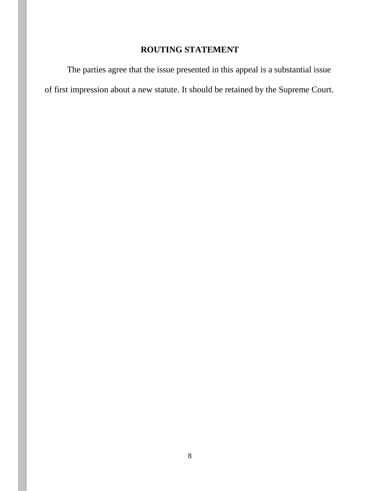# **ROUTING STATEMENT**

The parties agree that the issue presented in this appeal is a substantial issue of first impression about a new statute. It should be retained by the Supreme Court.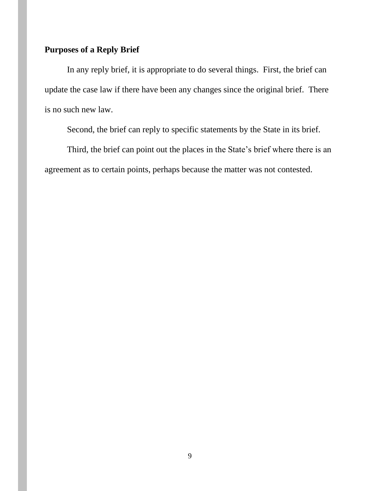# **Purposes of a Reply Brief**

In any reply brief, it is appropriate to do several things. First, the brief can update the case law if there have been any changes since the original brief. There is no such new law.

Second, the brief can reply to specific statements by the State in its brief.

Third, the brief can point out the places in the State's brief where there is an agreement as to certain points, perhaps because the matter was not contested.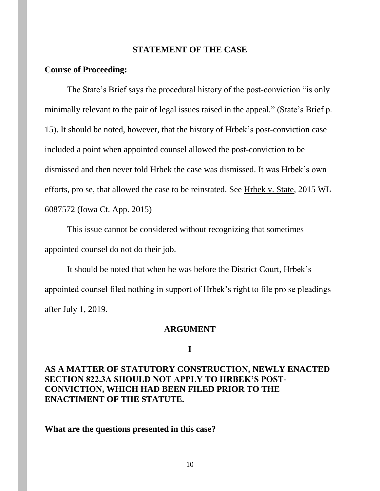#### **STATEMENT OF THE CASE**

### **Course of Proceeding:**

The State's Brief says the procedural history of the post-conviction "is only minimally relevant to the pair of legal issues raised in the appeal." (State's Brief p. 15). It should be noted, however, that the history of Hrbek's post-conviction case included a point when appointed counsel allowed the post-conviction to be dismissed and then never told Hrbek the case was dismissed. It was Hrbek's own efforts, pro se, that allowed the case to be reinstated. See Hrbek v. State, 2015 WL 6087572 (Iowa Ct. App. 2015)

This issue cannot be considered without recognizing that sometimes appointed counsel do not do their job.

It should be noted that when he was before the District Court, Hrbek's appointed counsel filed nothing in support of Hrbek's right to file pro se pleadings after July 1, 2019.

#### **ARGUMENT**

**I**

# **AS A MATTER OF STATUTORY CONSTRUCTION, NEWLY ENACTED SECTION 822.3A SHOULD NOT APPLY TO HRBEK'S POST-CONVICTION, WHICH HAD BEEN FILED PRIOR TO THE ENACTIMENT OF THE STATUTE.**

#### **What are the questions presented in this case?**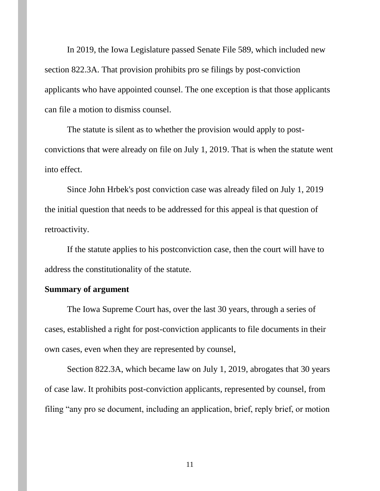In 2019, the Iowa Legislature passed Senate File 589, which included new section 822.3A. That provision prohibits pro se filings by post-conviction applicants who have appointed counsel. The one exception is that those applicants can file a motion to dismiss counsel.

The statute is silent as to whether the provision would apply to postconvictions that were already on file on July 1, 2019. That is when the statute went into effect.

Since John Hrbek's post conviction case was already filed on July 1, 2019 the initial question that needs to be addressed for this appeal is that question of retroactivity.

If the statute applies to his postconviction case, then the court will have to address the constitutionality of the statute.

### **Summary of argument**

The Iowa Supreme Court has, over the last 30 years, through a series of cases, established a right for post-conviction applicants to file documents in their own cases, even when they are represented by counsel,

Section 822.3A, which became law on July 1, 2019, abrogates that 30 years of case law. It prohibits post-conviction applicants, represented by counsel, from filing "any pro se document, including an application, brief, reply brief, or motion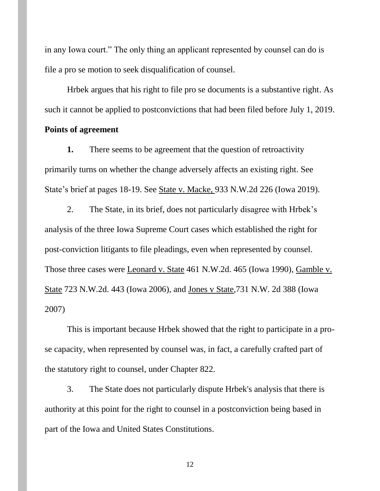in any Iowa court." The only thing an applicant represented by counsel can do is file a pro se motion to seek disqualification of counsel.

Hrbek argues that his right to file pro se documents is a substantive right. As such it cannot be applied to postconvictions that had been filed before July 1, 2019. **Points of agreement**

**1.** There seems to be agreement that the question of retroactivity primarily turns on whether the change adversely affects an existing right. See State's brief at pages 18-19. See State v. Macke, 933 N.W.2d 226 (Iowa 2019).

2. The State, in its brief, does not particularly disagree with Hrbek's analysis of the three Iowa Supreme Court cases which established the right for post-conviction litigants to file pleadings, even when represented by counsel. Those three cases were Leonard v. State 461 N.W.2d. 465 (Iowa 1990), Gamble v. State 723 N.W.2d. 443 (Iowa 2006), and Jones v State,731 N.W. 2d 388 (Iowa 2007)

This is important because Hrbek showed that the right to participate in a prose capacity, when represented by counsel was, in fact, a carefully crafted part of the statutory right to counsel, under Chapter 822.

3. The State does not particularly dispute Hrbek's analysis that there is authority at this point for the right to counsel in a postconviction being based in part of the Iowa and United States Constitutions.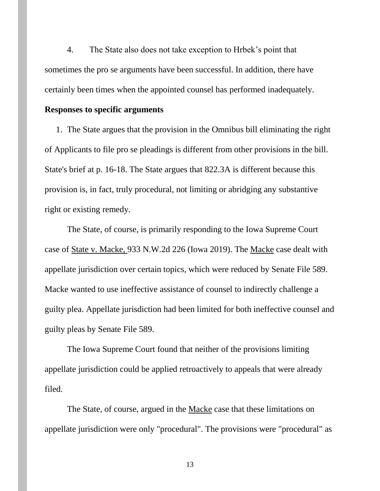4. The State also does not take exception to Hrbek's point that sometimes the pro se arguments have been successful. In addition, there have certainly been times when the appointed counsel has performed inadequately.

#### **Responses to specific arguments**

1. The State argues that the provision in the Omnibus bill eliminating the right of Applicants to file pro se pleadings is different from other provisions in the bill. State's brief at p. 16-18. The State argues that 822.3A is different because this provision is, in fact, truly procedural, not limiting or abridging any substantive right or existing remedy.

The State, of course, is primarily responding to the Iowa Supreme Court case of State v. Macke, 933 N.W.2d 226 (Iowa 2019). The Macke case dealt with appellate jurisdiction over certain topics, which were reduced by Senate File 589. Macke wanted to use ineffective assistance of counsel to indirectly challenge a guilty plea. Appellate jurisdiction had been limited for both ineffective counsel and guilty pleas by Senate File 589.

The Iowa Supreme Court found that neither of the provisions limiting appellate jurisdiction could be applied retroactively to appeals that were already filed.

The State, of course, argued in the Macke case that these limitations on appellate jurisdiction were only "procedural". The provisions were "procedural" as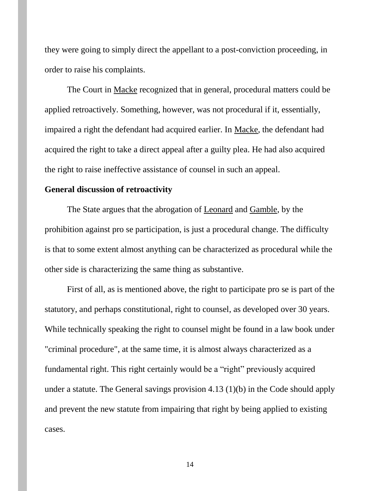they were going to simply direct the appellant to a post-conviction proceeding, in order to raise his complaints.

The Court in Macke recognized that in general, procedural matters could be applied retroactively. Something, however, was not procedural if it, essentially, impaired a right the defendant had acquired earlier. In Macke, the defendant had acquired the right to take a direct appeal after a guilty plea. He had also acquired the right to raise ineffective assistance of counsel in such an appeal.

## **General discussion of retroactivity**

The State argues that the abrogation of Leonard and Gamble, by the prohibition against pro se participation, is just a procedural change. The difficulty is that to some extent almost anything can be characterized as procedural while the other side is characterizing the same thing as substantive.

First of all, as is mentioned above, the right to participate pro se is part of the statutory, and perhaps constitutional, right to counsel, as developed over 30 years. While technically speaking the right to counsel might be found in a law book under "criminal procedure", at the same time, it is almost always characterized as a fundamental right. This right certainly would be a "right" previously acquired under a statute. The General savings provision 4.13 (1)(b) in the Code should apply and prevent the new statute from impairing that right by being applied to existing cases.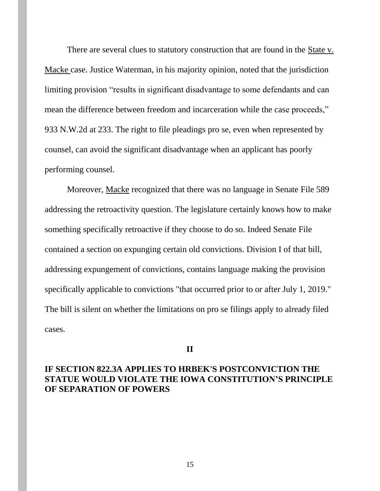There are several clues to statutory construction that are found in the State v. Macke case. Justice Waterman, in his majority opinion, noted that the jurisdiction limiting provision "results in significant disadvantage to some defendants and can mean the difference between freedom and incarceration while the case proceeds," 933 N.W.2d at 233. The right to file pleadings pro se, even when represented by counsel, can avoid the significant disadvantage when an applicant has poorly performing counsel.

Moreover, Macke recognized that there was no language in Senate File 589 addressing the retroactivity question. The legislature certainly knows how to make something specifically retroactive if they choose to do so. Indeed Senate File contained a section on expunging certain old convictions. Division I of that bill, addressing expungement of convictions, contains language making the provision specifically applicable to convictions "that occurred prior to or after July 1, 2019." The bill is silent on whether the limitations on pro se filings apply to already filed cases.

**II**

## **IF SECTION 822.3A APPLIES TO HRBEK'S POSTCONVICTION THE STATUE WOULD VIOLATE THE IOWA CONSTITUTION'S PRINCIPLE OF SEPARATION OF POWERS**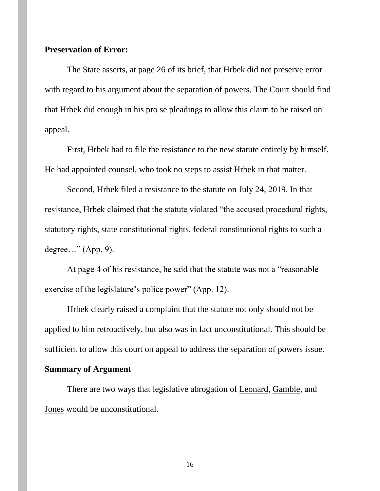#### **Preservation of Error:**

The State asserts, at page 26 of its brief, that Hrbek did not preserve error with regard to his argument about the separation of powers. The Court should find that Hrbek did enough in his pro se pleadings to allow this claim to be raised on appeal.

First, Hrbek had to file the resistance to the new statute entirely by himself. He had appointed counsel, who took no steps to assist Hrbek in that matter.

Second, Hrbek filed a resistance to the statute on July 24, 2019. In that resistance, Hrbek claimed that the statute violated "the accused procedural rights, statutory rights, state constitutional rights, federal constitutional rights to such a degree…" (App. 9).

At page 4 of his resistance, he said that the statute was not a "reasonable exercise of the legislature's police power" (App. 12).

Hrbek clearly raised a complaint that the statute not only should not be applied to him retroactively, but also was in fact unconstitutional. This should be sufficient to allow this court on appeal to address the separation of powers issue. **Summary of Argument**

There are two ways that legislative abrogation of Leonard, Gamble, and Jones would be unconstitutional.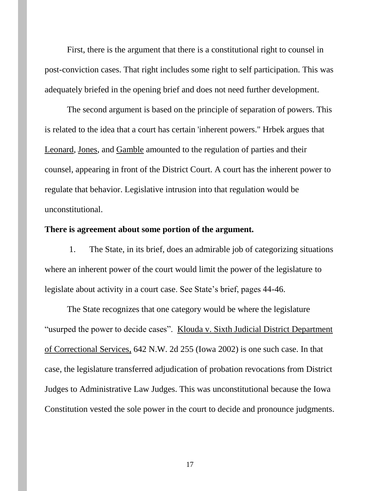First, there is the argument that there is a constitutional right to counsel in post-conviction cases. That right includes some right to self participation. This was adequately briefed in the opening brief and does not need further development.

The second argument is based on the principle of separation of powers. This is related to the idea that a court has certain 'inherent powers." Hrbek argues that Leonard, Jones, and Gamble amounted to the regulation of parties and their counsel, appearing in front of the District Court. A court has the inherent power to regulate that behavior. Legislative intrusion into that regulation would be unconstitutional.

### **There is agreement about some portion of the argument.**

1. The State, in its brief, does an admirable job of categorizing situations where an inherent power of the court would limit the power of the legislature to legislate about activity in a court case. See State's brief, pages 44-46.

The State recognizes that one category would be where the legislature "usurped the power to decide cases". Klouda v. Sixth Judicial District Department of Correctional Services, 642 N.W. 2d 255 (Iowa 2002) is one such case. In that case, the legislature transferred adjudication of probation revocations from District Judges to Administrative Law Judges. This was unconstitutional because the Iowa Constitution vested the sole power in the court to decide and pronounce judgments.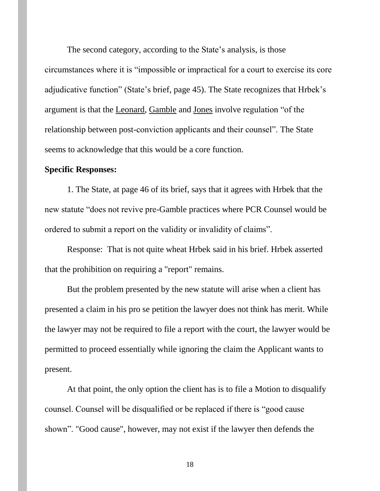The second category, according to the State's analysis, is those circumstances where it is "impossible or impractical for a court to exercise its core adjudicative function" (State's brief, page 45). The State recognizes that Hrbek's argument is that the Leonard, Gamble and Jones involve regulation "of the relationship between post-conviction applicants and their counsel". The State seems to acknowledge that this would be a core function.

#### **Specific Responses:**

1. The State, at page 46 of its brief, says that it agrees with Hrbek that the new statute "does not revive pre-Gamble practices where PCR Counsel would be ordered to submit a report on the validity or invalidity of claims".

Response: That is not quite wheat Hrbek said in his brief. Hrbek asserted that the prohibition on requiring a "report" remains.

But the problem presented by the new statute will arise when a client has presented a claim in his pro se petition the lawyer does not think has merit. While the lawyer may not be required to file a report with the court, the lawyer would be permitted to proceed essentially while ignoring the claim the Applicant wants to present.

At that point, the only option the client has is to file a Motion to disqualify counsel. Counsel will be disqualified or be replaced if there is "good cause shown". "Good cause", however, may not exist if the lawyer then defends the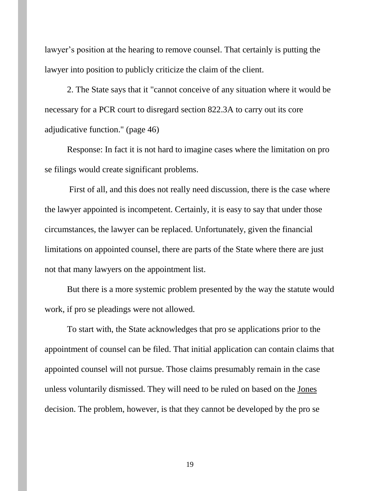lawyer's position at the hearing to remove counsel. That certainly is putting the lawyer into position to publicly criticize the claim of the client.

2. The State says that it "cannot conceive of any situation where it would be necessary for a PCR court to disregard section 822.3A to carry out its core adjudicative function." (page 46)

Response: In fact it is not hard to imagine cases where the limitation on pro se filings would create significant problems.

First of all, and this does not really need discussion, there is the case where the lawyer appointed is incompetent. Certainly, it is easy to say that under those circumstances, the lawyer can be replaced. Unfortunately, given the financial limitations on appointed counsel, there are parts of the State where there are just not that many lawyers on the appointment list.

But there is a more systemic problem presented by the way the statute would work, if pro se pleadings were not allowed.

To start with, the State acknowledges that pro se applications prior to the appointment of counsel can be filed. That initial application can contain claims that appointed counsel will not pursue. Those claims presumably remain in the case unless voluntarily dismissed. They will need to be ruled on based on the Jones decision. The problem, however, is that they cannot be developed by the pro se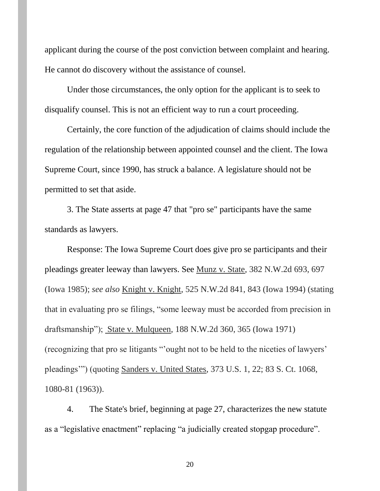applicant during the course of the post conviction between complaint and hearing. He cannot do discovery without the assistance of counsel.

Under those circumstances, the only option for the applicant is to seek to disqualify counsel. This is not an efficient way to run a court proceeding.

Certainly, the core function of the adjudication of claims should include the regulation of the relationship between appointed counsel and the client. The Iowa Supreme Court, since 1990, has struck a balance. A legislature should not be permitted to set that aside.

3. The State asserts at page 47 that "pro se" participants have the same standards as lawyers.

Response: The Iowa Supreme Court does give pro se participants and their pleadings greater leeway than lawyers. See Munz v. State, 382 N.W.2d 693, 697 (Iowa 1985); *see also* Knight v. Knight, 525 N.W.2d 841, 843 (Iowa 1994) (stating that in evaluating pro se filings, "some leeway must be accorded from precision in draftsmanship"); State v. Mulqueen, 188 N.W.2d 360, 365 (Iowa 1971) (recognizing that pro se litigants "'ought not to be held to the niceties of lawyers' pleadings'") (quoting Sanders v. United States, 373 U.S. 1, 22; 83 S. Ct. 1068, 1080-81 (1963)).

4. The State's brief, beginning at page 27, characterizes the new statute as a "legislative enactment" replacing "a judicially created stopgap procedure".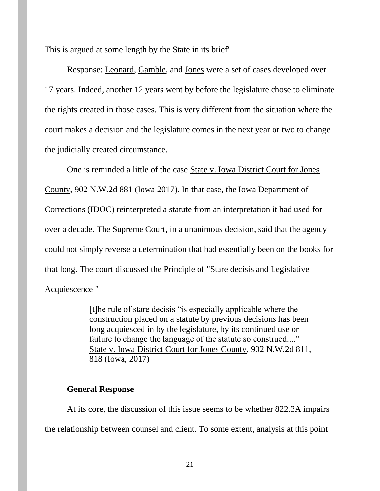This is argued at some length by the State in its brief'

Response: Leonard, Gamble, and Jones were a set of cases developed over 17 years. Indeed, another 12 years went by before the legislature chose to eliminate the rights created in those cases. This is very different from the situation where the court makes a decision and the legislature comes in the next year or two to change the judicially created circumstance.

One is reminded a little of the case State v. Iowa District Court for Jones County, 902 N.W.2d 881 (Iowa 2017). In that case, the Iowa Department of Corrections (IDOC) reinterpreted a statute from an interpretation it had used for over a decade. The Supreme Court, in a unanimous decision, said that the agency could not simply reverse a determination that had essentially been on the books for that long. The court discussed the Principle of "Stare decisis and Legislative Acquiescence "

> [t]he rule of stare decisis "is especially applicable where the construction placed on a statute by previous decisions has been long acquiesced in by the legislature, by its continued use or failure to change the language of the statute so construed...." State v. Iowa District Court for Jones County, 902 N.W.2d 811, 818 (Iowa, 2017)

## **General Response**

At its core, the discussion of this issue seems to be whether 822.3A impairs the relationship between counsel and client. To some extent, analysis at this point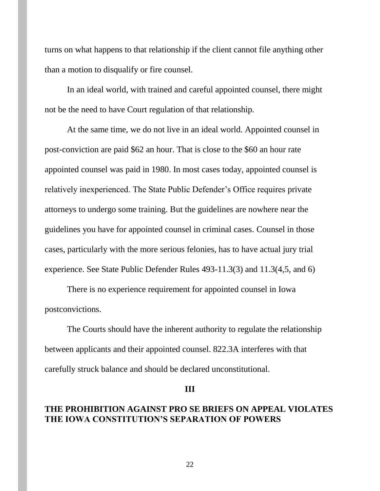turns on what happens to that relationship if the client cannot file anything other than a motion to disqualify or fire counsel.

In an ideal world, with trained and careful appointed counsel, there might not be the need to have Court regulation of that relationship.

At the same time, we do not live in an ideal world. Appointed counsel in post-conviction are paid \$62 an hour. That is close to the \$60 an hour rate appointed counsel was paid in 1980. In most cases today, appointed counsel is relatively inexperienced. The State Public Defender's Office requires private attorneys to undergo some training. But the guidelines are nowhere near the guidelines you have for appointed counsel in criminal cases. Counsel in those cases, particularly with the more serious felonies, has to have actual jury trial experience. See State Public Defender Rules 493-11.3(3) and 11.3(4,5, and 6)

There is no experience requirement for appointed counsel in Iowa postconvictions.

The Courts should have the inherent authority to regulate the relationship between applicants and their appointed counsel. 822.3A interferes with that carefully struck balance and should be declared unconstitutional.

**III**

## **THE PROHIBITION AGAINST PRO SE BRIEFS ON APPEAL VIOLATES THE IOWA CONSTITUTION'S SEPARATION OF POWERS**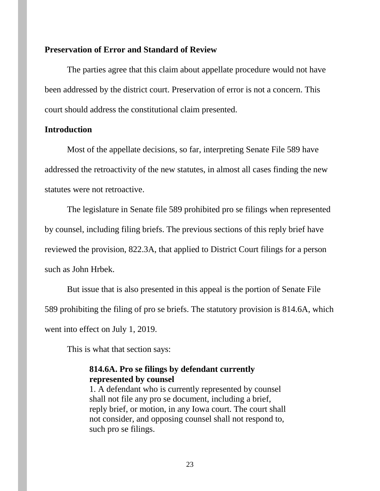#### **Preservation of Error and Standard of Review**

The parties agree that this claim about appellate procedure would not have been addressed by the district court. Preservation of error is not a concern. This court should address the constitutional claim presented.

### **Introduction**

Most of the appellate decisions, so far, interpreting Senate File 589 have addressed the retroactivity of the new statutes, in almost all cases finding the new statutes were not retroactive.

The legislature in Senate file 589 prohibited pro se filings when represented by counsel, including filing briefs. The previous sections of this reply brief have reviewed the provision, 822.3A, that applied to District Court filings for a person such as John Hrbek.

But issue that is also presented in this appeal is the portion of Senate File

589 prohibiting the filing of pro se briefs. The statutory provision is 814.6A, which

went into effect on July 1, 2019.

This is what that section says:

# **814.6A. Pro se filings by defendant currently represented by counsel**

1. A defendant who is currently represented by counsel shall not file any pro se document, including a brief, reply brief, or motion, in any Iowa court. The court shall not consider, and opposing counsel shall not respond to, such pro se filings.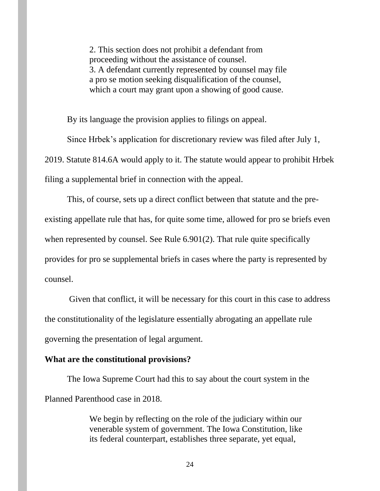2. This section does not prohibit a defendant from proceeding without the assistance of counsel. 3. A defendant currently represented by counsel may file a pro se motion seeking disqualification of the counsel, which a court may grant upon a showing of good cause.

By its language the provision applies to filings on appeal.

Since Hrbek's application for discretionary review was filed after July 1, 2019. Statute 814.6A would apply to it. The statute would appear to prohibit Hrbek filing a supplemental brief in connection with the appeal.

This, of course, sets up a direct conflict between that statute and the preexisting appellate rule that has, for quite some time, allowed for pro se briefs even when represented by counsel. See Rule 6.901(2). That rule quite specifically provides for pro se supplemental briefs in cases where the party is represented by counsel.

Given that conflict, it will be necessary for this court in this case to address the constitutionality of the legislature essentially abrogating an appellate rule governing the presentation of legal argument.

#### **What are the constitutional provisions?**

The Iowa Supreme Court had this to say about the court system in the Planned Parenthood case in 2018.

> We begin by reflecting on the role of the judiciary within our venerable system of government. The Iowa Constitution, like its federal counterpart, establishes three separate, yet equal,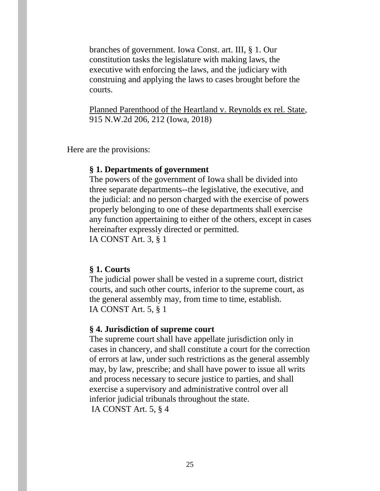branches of government. Iowa Const. art. III, § 1. Our constitution tasks the legislature with making laws, the executive with enforcing the laws, and the judiciary with construing and applying the laws to cases brought before the courts.

Planned Parenthood of the Heartland v. Reynolds ex rel. State, 915 N.W.2d 206, 212 (Iowa, 2018)

Here are the provisions:

### **§ 1. Departments of government**

The powers of the government of Iowa shall be divided into three separate departments--the legislative, the executive, and the judicial: and no person charged with the exercise of powers properly belonging to one of these departments shall exercise any function appertaining to either of the others, except in cases hereinafter expressly directed or permitted. IA CONST Art. 3, § 1

### **§ 1. Courts**

The judicial power shall be vested in a supreme court, district courts, and such other courts, inferior to the supreme court, as the general assembly may, from time to time, establish. IA CONST Art. 5, § 1

#### **§ 4. Jurisdiction of supreme court**

The supreme court shall have appellate jurisdiction only in cases in chancery, and shall constitute a court for the correction of errors at law, under such restrictions as the general assembly may, by law, prescribe; and shall have power to issue all writs and process necessary to secure justice to parties, and shall exercise a supervisory and administrative control over all inferior judicial tribunals throughout the state.

IA CONST Art. 5, § 4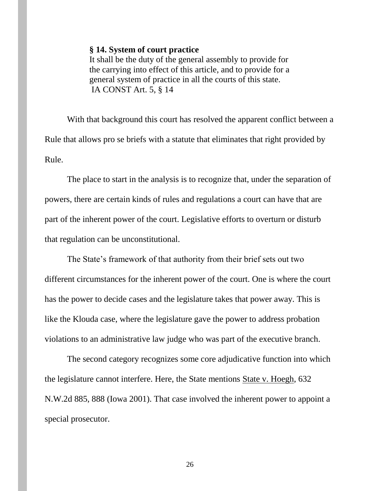#### **§ 14. System of court practice**

It shall be the duty of the general assembly to provide for the carrying into effect of this article, and to provide for a general system of practice in all the courts of this state. IA CONST Art. 5, § 14

With that background this court has resolved the apparent conflict between a Rule that allows pro se briefs with a statute that eliminates that right provided by Rule.

The place to start in the analysis is to recognize that, under the separation of powers, there are certain kinds of rules and regulations a court can have that are part of the inherent power of the court. Legislative efforts to overturn or disturb that regulation can be unconstitutional.

The State's framework of that authority from their brief sets out two different circumstances for the inherent power of the court. One is where the court has the power to decide cases and the legislature takes that power away. This is like the Klouda case, where the legislature gave the power to address probation violations to an administrative law judge who was part of the executive branch.

The second category recognizes some core adjudicative function into which the legislature cannot interfere. Here, the State mentions State v. Hoegh, 632 N.W.2d 885, 888 (Iowa 2001). That case involved the inherent power to appoint a special prosecutor.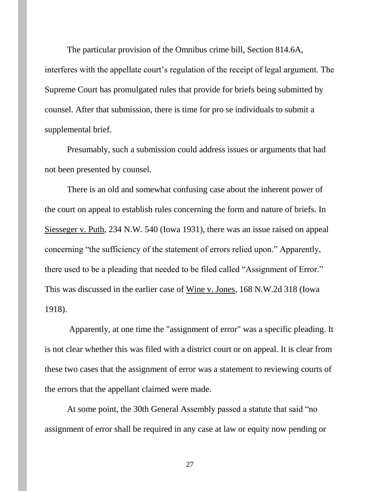The particular provision of the Omnibus crime bill, Section 814.6A, interferes with the appellate court's regulation of the receipt of legal argument. The Supreme Court has promulgated rules that provide for briefs being submitted by counsel. After that submission, there is time for pro se individuals to submit a supplemental brief.

Presumably, such a submission could address issues or arguments that had not been presented by counsel.

There is an old and somewhat confusing case about the inherent power of the court on appeal to establish rules concerning the form and nature of briefs. In Siesseger v. Puth, 234 N.W. 540 (Iowa 1931), there was an issue raised on appeal concerning "the sufficiency of the statement of errors relied upon." Apparently, there used to be a pleading that needed to be filed called "Assignment of Error." This was discussed in the earlier case of Wine v. Jones, 168 N.W.2d 318 (Iowa 1918).

Apparently, at one time the "assignment of error" was a specific pleading. It is not clear whether this was filed with a district court or on appeal. It is clear from these two cases that the assignment of error was a statement to reviewing courts of the errors that the appellant claimed were made.

At some point, the 30th General Assembly passed a statute that said "no assignment of error shall be required in any case at law or equity now pending or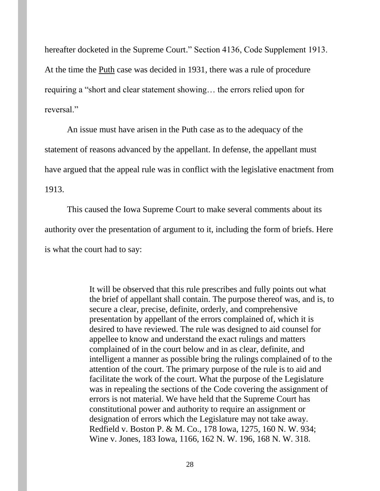hereafter docketed in the Supreme Court." Section 4136, Code Supplement 1913. At the time the Puth case was decided in 1931, there was a rule of procedure requiring a "short and clear statement showing… the errors relied upon for reversal."

An issue must have arisen in the Puth case as to the adequacy of the statement of reasons advanced by the appellant. In defense, the appellant must have argued that the appeal rule was in conflict with the legislative enactment from 1913.

This caused the Iowa Supreme Court to make several comments about its authority over the presentation of argument to it, including the form of briefs. Here is what the court had to say:

> It will be observed that this rule prescribes and fully points out what the brief of appellant shall contain. The purpose thereof was, and is, to secure a clear, precise, definite, orderly, and comprehensive presentation by appellant of the errors complained of, which it is desired to have reviewed. The rule was designed to aid counsel for appellee to know and understand the exact rulings and matters complained of in the court below and in as clear, definite, and intelligent a manner as possible bring the rulings complained of to the attention of the court. The primary purpose of the rule is to aid and facilitate the work of the court. What the purpose of the Legislature was in repealing the sections of the Code covering the assignment of errors is not material. We have held that the Supreme Court has constitutional power and authority to require an assignment or designation of errors which the Legislature may not take away. Redfield v. Boston P. & M. Co., 178 Iowa, 1275, 160 N. W. 934; Wine v. Jones, 183 Iowa, 1166, 162 N. W. 196, 168 N. W. 318.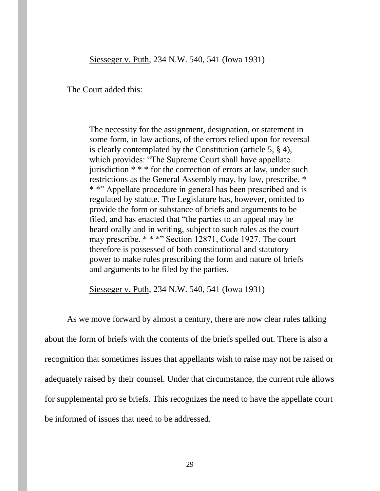#### Siesseger v. Puth, 234 N.W. 540, 541 (Iowa 1931)

The Court added this:

The necessity for the assignment, designation, or statement in some form, in law actions, of the errors relied upon for reversal is clearly contemplated by the Constitution (article 5, § 4), which provides: "The Supreme Court shall have appellate jurisdiction \* \* \* for the correction of errors at law, under such restrictions as the General Assembly may, by law, prescribe. \* \* \*" Appellate procedure in general has been prescribed and is regulated by statute. The Legislature has, however, omitted to provide the form or substance of briefs and arguments to be filed, and has enacted that "the parties to an appeal may be heard orally and in writing, subject to such rules as the court may prescribe. \* \* \*" Section 12871, Code 1927. The court therefore is possessed of both constitutional and statutory power to make rules prescribing the form and nature of briefs and arguments to be filed by the parties.

Siesseger v. Puth, 234 N.W. 540, 541 (Iowa 1931)

As we move forward by almost a century, there are now clear rules talking about the form of briefs with the contents of the briefs spelled out. There is also a recognition that sometimes issues that appellants wish to raise may not be raised or adequately raised by their counsel. Under that circumstance, the current rule allows for supplemental pro se briefs. This recognizes the need to have the appellate court be informed of issues that need to be addressed.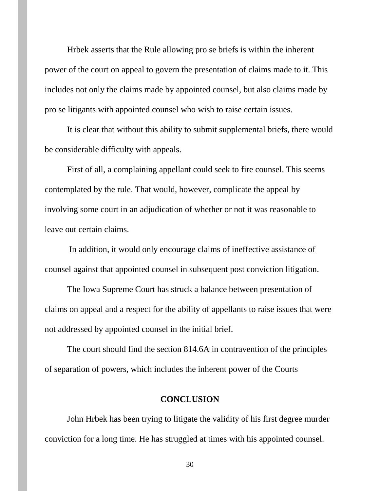Hrbek asserts that the Rule allowing pro se briefs is within the inherent power of the court on appeal to govern the presentation of claims made to it. This includes not only the claims made by appointed counsel, but also claims made by pro se litigants with appointed counsel who wish to raise certain issues.

It is clear that without this ability to submit supplemental briefs, there would be considerable difficulty with appeals.

First of all, a complaining appellant could seek to fire counsel. This seems contemplated by the rule. That would, however, complicate the appeal by involving some court in an adjudication of whether or not it was reasonable to leave out certain claims.

In addition, it would only encourage claims of ineffective assistance of counsel against that appointed counsel in subsequent post conviction litigation.

The Iowa Supreme Court has struck a balance between presentation of claims on appeal and a respect for the ability of appellants to raise issues that were not addressed by appointed counsel in the initial brief.

The court should find the section 814.6A in contravention of the principles of separation of powers, which includes the inherent power of the Courts

#### **CONCLUSION**

John Hrbek has been trying to litigate the validity of his first degree murder conviction for a long time. He has struggled at times with his appointed counsel.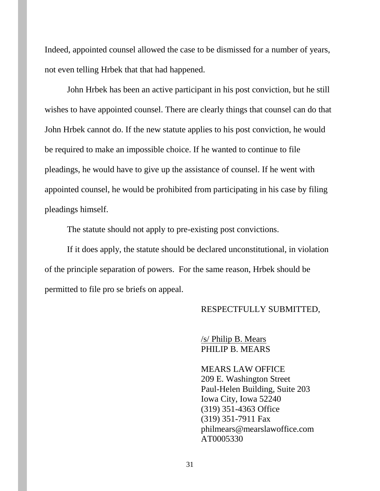Indeed, appointed counsel allowed the case to be dismissed for a number of years, not even telling Hrbek that that had happened.

John Hrbek has been an active participant in his post conviction, but he still wishes to have appointed counsel. There are clearly things that counsel can do that John Hrbek cannot do. If the new statute applies to his post conviction, he would be required to make an impossible choice. If he wanted to continue to file pleadings, he would have to give up the assistance of counsel. If he went with appointed counsel, he would be prohibited from participating in his case by filing pleadings himself.

The statute should not apply to pre-existing post convictions.

If it does apply, the statute should be declared unconstitutional, in violation of the principle separation of powers. For the same reason, Hrbek should be permitted to file pro se briefs on appeal.

#### RESPECTFULLY SUBMITTED,

### /s/ Philip B. Mears PHILIP B. MEARS

MEARS LAW OFFICE 209 E. Washington Street Paul-Helen Building, Suite 203 Iowa City, Iowa 52240 (319) 351-4363 Office (319) 351-7911 Fax philmears@mearslawoffice.com AT0005330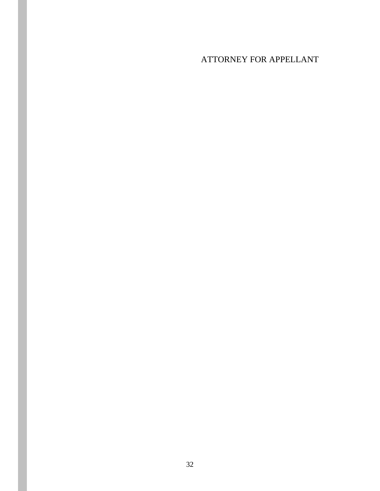ATTORNEY FOR APPELLANT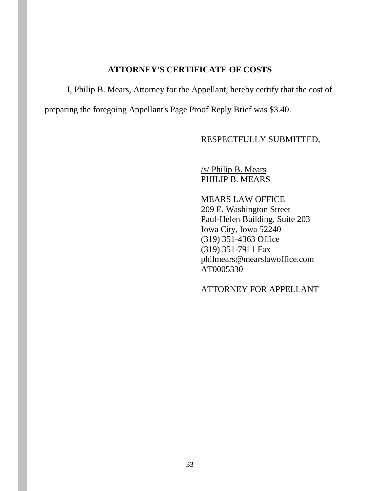# **ATTORNEY'S CERTIFICATE OF COSTS**

I, Philip B. Mears, Attorney for the Appellant, hereby certify that the cost of

preparing the foregoing Appellant's Page Proof Reply Brief was \$3.40.

RESPECTFULLY SUBMITTED,

/s/ Philip B. Mears PHILIP B. MEARS

MEARS LAW OFFICE 209 E. Washington Street Paul-Helen Building, Suite 203 Iowa City, Iowa 52240 (319) 351-4363 Office (319) 351-7911 Fax philmears@mearslawoffice.com AT0005330

ATTORNEY FOR APPELLANT